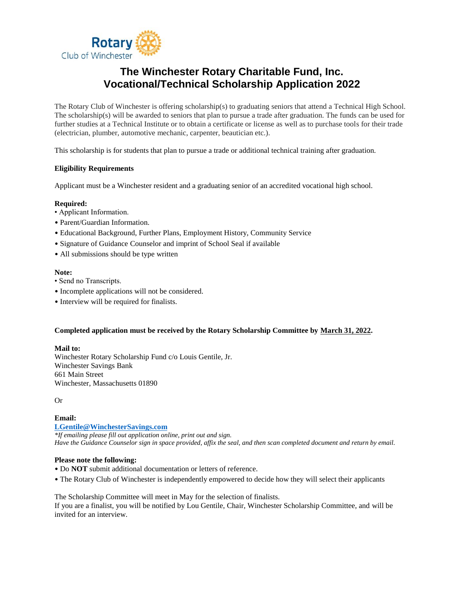

### **The Winchester Rotary Charitable Fund, Inc. Vocational/Technical Scholarship Application 2022**

The Rotary Club of Winchester is offering scholarship(s) to graduating seniors that attend a Technical High School. The scholarship(s) will be awarded to seniors that plan to pursue a trade after graduation. The funds can be used for further studies at a Technical Institute or to obtain a certificate or license as well as to purchase tools for their trade (electrician, plumber, automotive mechanic, carpenter, beautician etc.).

This scholarship is for students that plan to pursue a trade or additional technical training after graduation.

#### **Eligibility Requirements**

Applicant must be a Winchester resident and a graduating senior of an accredited vocational high school.

#### **Required:**

- Applicant Information.
- Parent/Guardian Information.
- Educational Background, Further Plans, Employment History, Community Service
- Signature of Guidance Counselor and imprint of School Seal if available
- All submissions should be type written

#### **Note:**

- Send no Transcripts.
- Incomplete applications will not be considered.
- Interview will be required for finalists.

#### **Completed application must be received by the Rotary Scholarship Committee by March 31, 2022.**

#### **Mail to:**

Winchester Rotary Scholarship Fund c/o Louis Gentile, Jr. Winchester Savings Bank 661 Main Street Winchester, Massachusetts 01890

Or

#### **Email:**

**[LGentile@WinchesterSavings.com](mailto:LGentile@WinchesterSavings.com)** *\*If emailing please fill out application online, print out and sign. Have the Guidance Counselor sign in space provided, affix the seal, and then scan completed document and return by email.* 

#### **Please note the following:**

- Do **NOT** submit additional documentation or letters of reference.
- The Rotary Club of Winchester is independently empowered to decide how they will select their applicants

The Scholarship Committee will meet in May for the selection of finalists. If you are a finalist, you will be notified by Lou Gentile, Chair, Winchester Scholarship Committee, and will be invited for an interview.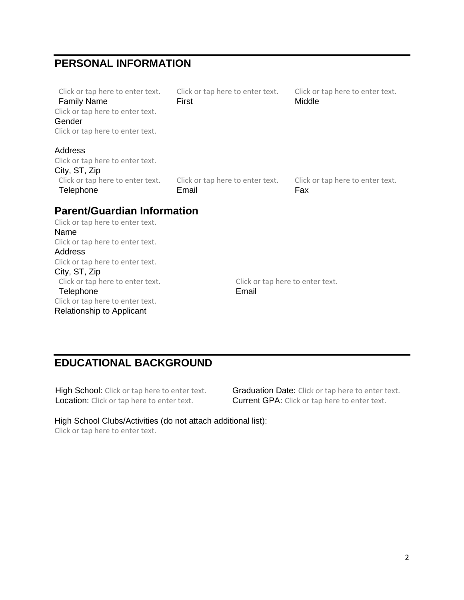### **PERSONAL INFORMATION**

| Click or tap here to enter text.<br><b>Family Name</b> | Click or tap here to enter text.<br>First | Click or tap here to enter text.<br>Middle |
|--------------------------------------------------------|-------------------------------------------|--------------------------------------------|
| Click or tap here to enter text.                       |                                           |                                            |
| Gender                                                 |                                           |                                            |
| Click or tap here to enter text.                       |                                           |                                            |
| Address                                                |                                           |                                            |
| Click or tap here to enter text.                       |                                           |                                            |
| City, ST, Zip                                          |                                           |                                            |
| Click or tap here to enter text.                       | Click or tap here to enter text.          | Click or tap here to enter text.           |
| Telephone                                              | Email                                     | Fax                                        |
| <b>Parent/Guardian Information</b>                     |                                           |                                            |
| Click or tap here to enter text.                       |                                           |                                            |
| Name                                                   |                                           |                                            |
| Click or tap here to enter text.                       |                                           |                                            |
| Address                                                |                                           |                                            |
| Click or tap here to enter text.                       |                                           |                                            |
| City, ST, Zip                                          |                                           |                                            |
| Click or tap here to enter text.                       | Click or tap here to enter text.          |                                            |
| Telephone                                              | Email                                     |                                            |
| Click or tap here to enter text.                       |                                           |                                            |

Relationship to Applicant

## **EDUCATIONAL BACKGROUND**

Location: Click or tap here to enter text. Current GPA: Click or tap here to enter text.

High School: Click or tap here to enter text. Graduation Date: Click or tap here to enter text.

High School Clubs/Activities (do not attach additional list): Click or tap here to enter text.